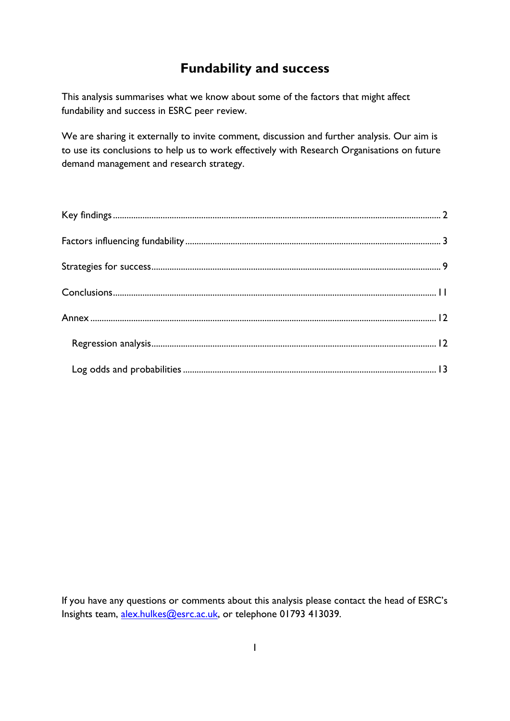# **Fundability and success**

This analysis summarises what we know about some of the factors that might affect fundability and success in ESRC peer review.

We are sharing it externally to invite comment, discussion and further analysis. Our aim is to use its conclusions to help us to work effectively with Research Organisations on future demand management and research strategy.

If you have any questions or comments about this analysis please contact the head of ESRC's Insights team, [alex.hulkes@esrc.ac.uk,](mailto:alex.hulkes@esrc.ac.uk) or telephone 01793 413039.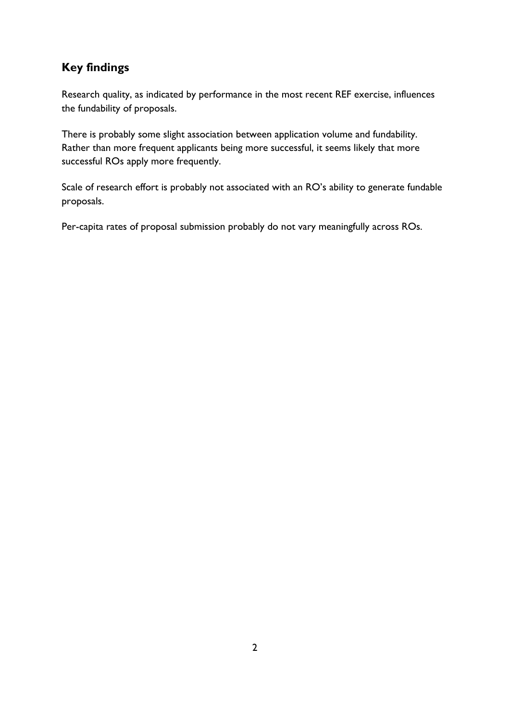## <span id="page-1-0"></span>**Key findings**

Research quality, as indicated by performance in the most recent REF exercise, influences the fundability of proposals.

There is probably some slight association between application volume and fundability. Rather than more frequent applicants being more successful, it seems likely that more successful ROs apply more frequently.

Scale of research effort is probably not associated with an RO's ability to generate fundable proposals.

Per-capita rates of proposal submission probably do not vary meaningfully across ROs.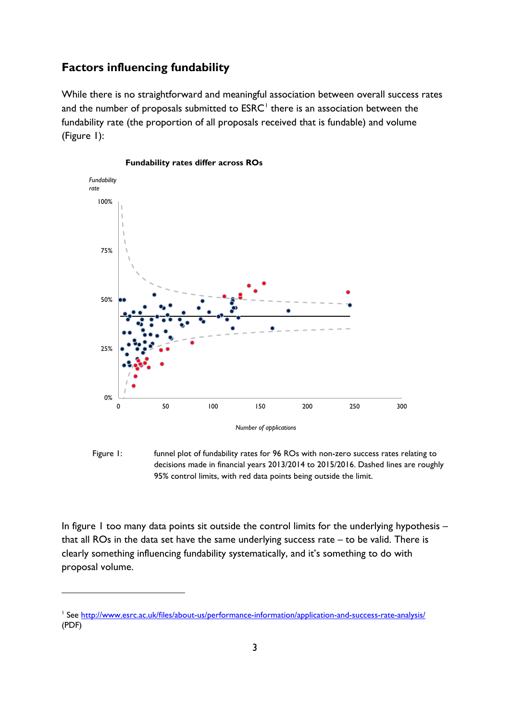## <span id="page-2-0"></span>**Factors influencing fundability**

While there is no straightforward and meaningful association between overall success rates and the number of proposals submitted to  $ESRC<sup>1</sup>$  $ESRC<sup>1</sup>$  $ESRC<sup>1</sup>$  there is an association between the fundability rate (the proportion of all proposals received that is fundable) and volume (Figure 1):



#### **Fundability rates differ across ROs**

Figure 1: funnel plot of fundability rates for 96 ROs with non-zero success rates relating to decisions made in financial years 2013/2014 to 2015/2016. Dashed lines are roughly 95% control limits, with red data points being outside the limit.

In figure 1 too many data points sit outside the control limits for the underlying hypothesis – that all ROs in the data set have the same underlying success rate – to be valid. There is clearly something influencing fundability systematically, and it's something to do with proposal volume.

-

<span id="page-2-1"></span><sup>&</sup>lt;sup>1</sup> See<http://www.esrc.ac.uk/files/about-us/performance-information/application-and-success-rate-analysis/> (PDF)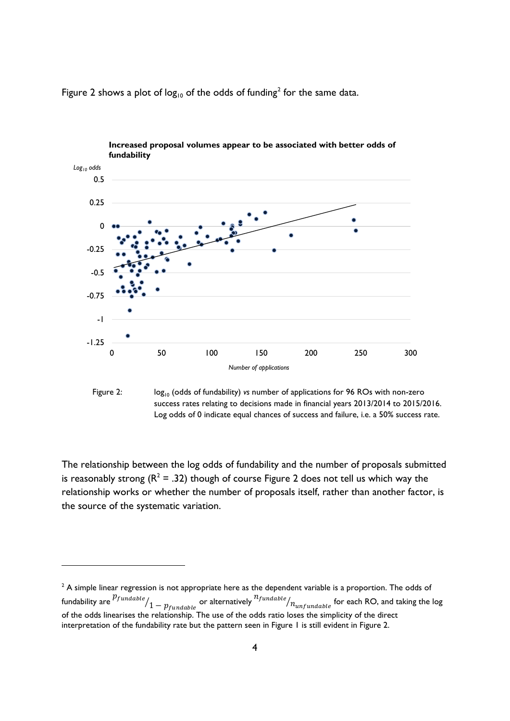

Figure [2](#page-3-0) shows a plot of  $log_{10}$  of the odds of funding<sup>2</sup> for the same data.



The relationship between the log odds of fundability and the number of proposals submitted is reasonably strong ( $R^2 = .32$ ) though of course Figure 2 does not tell us which way the relationship works or whether the number of proposals itself, rather than another factor, is the source of the systematic variation.

<u>.</u>

<span id="page-3-0"></span> $2$  A simple linear regression is not appropriate here as the dependent variable is a proportion. The odds of fundability are  ${p_{fundable}\over 1-p_{fundable}}$  or alternatively  $^{n_{fundable}\over 1/n_{unfundable}}$  for each RO, and taking the log of the odds linearises the relationship. The use of the odds ratio loses the simplicity of the direct interpretation of the fundability rate but the pattern seen in Figure 1 is still evident in Figure 2.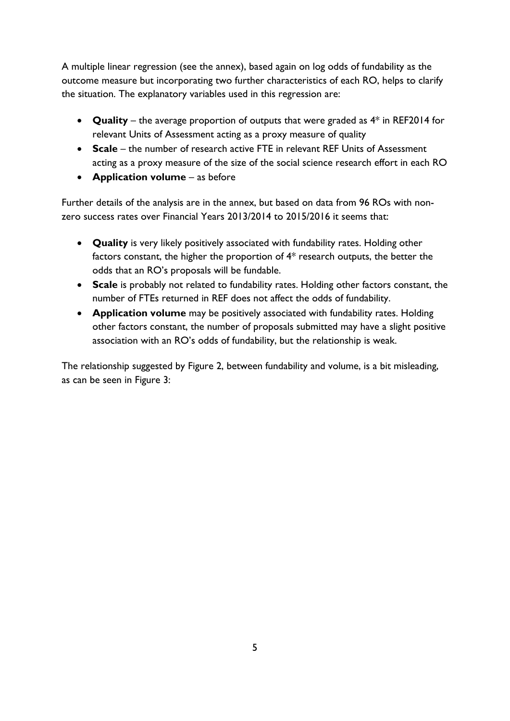A multiple linear regression (see the annex), based again on log odds of fundability as the outcome measure but incorporating two further characteristics of each RO, helps to clarify the situation. The explanatory variables used in this regression are:

- **Quality** the average proportion of outputs that were graded as 4\* in REF2014 for relevant Units of Assessment acting as a proxy measure of quality
- **Scale** the number of research active FTE in relevant REF Units of Assessment acting as a proxy measure of the size of the social science research effort in each RO
- **Application volume** as before

Further details of the analysis are in the annex, but based on data from 96 ROs with nonzero success rates over Financial Years 2013/2014 to 2015/2016 it seems that:

- **Quality** is very likely positively associated with fundability rates. Holding other factors constant, the higher the proportion of 4\* research outputs, the better the odds that an RO's proposals will be fundable.
- **Scale** is probably not related to fundability rates. Holding other factors constant, the number of FTEs returned in REF does not affect the odds of fundability.
- **Application volume** may be positively associated with fundability rates. Holding other factors constant, the number of proposals submitted may have a slight positive association with an RO's odds of fundability, but the relationship is weak.

The relationship suggested by Figure 2, between fundability and volume, is a bit misleading, as can be seen in Figure 3: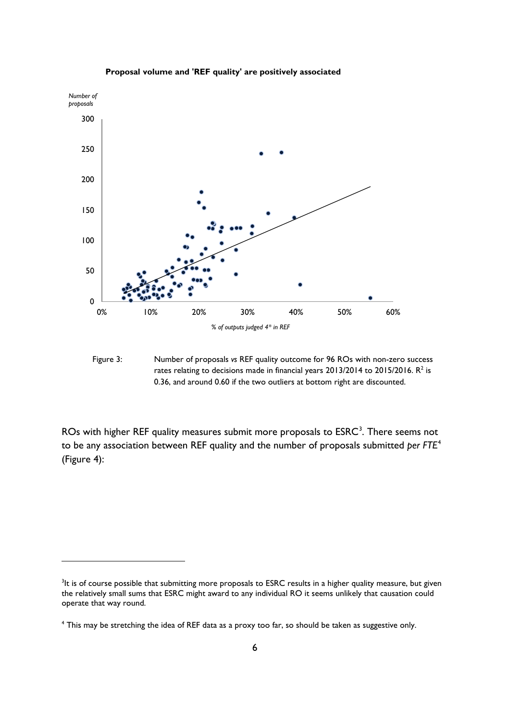

#### **Proposal volume and 'REF quality' are positively associated**

Figure 3: Number of proposals *vs* REF quality outcome for 96 ROs with non-zero success rates relating to decisions made in financial years  $2013/2014$  to  $2015/2016$ .  $R^2$  is 0.36, and around 0.60 if the two outliers at bottom right are discounted.

ROs with higher REF quality measures submit more proposals to  $\mathsf{ESRC}^3$  $\mathsf{ESRC}^3$ . There seems not to be any association between REF quality and the number of proposals submitted *per FTE*[4](#page-5-1) (Figure 4):

-

<span id="page-5-0"></span><sup>&</sup>lt;sup>3</sup>It is of course possible that submitting more proposals to ESRC results in a higher quality measure, but given the relatively small sums that ESRC might award to any individual RO it seems unlikely that causation could operate that way round.

<span id="page-5-1"></span><sup>4</sup> This may be stretching the idea of REF data as a proxy too far, so should be taken as suggestive only.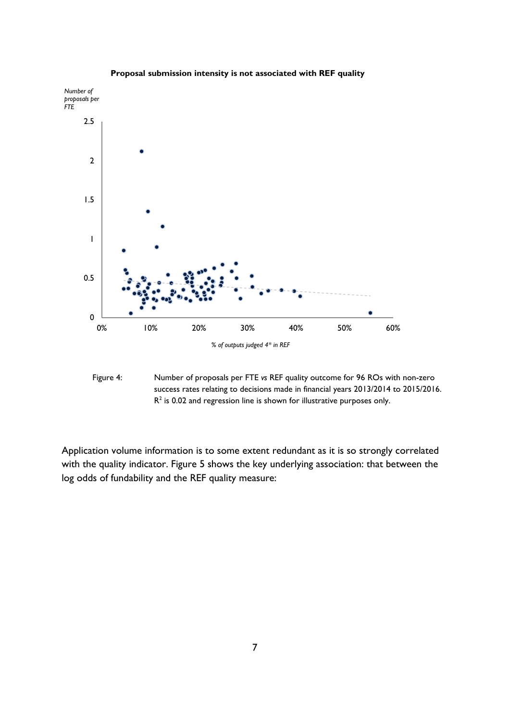

**Proposal submission intensity is not associated with REF quality**

Figure 4: Number of proposals per FTE *vs* REF quality outcome for 96 ROs with non-zero success rates relating to decisions made in financial years 2013/2014 to 2015/2016.  $R<sup>2</sup>$  is 0.02 and regression line is shown for illustrative purposes only.

Application volume information is to some extent redundant as it is so strongly correlated with the quality indicator. Figure 5 shows the key underlying association: that between the log odds of fundability and the REF quality measure: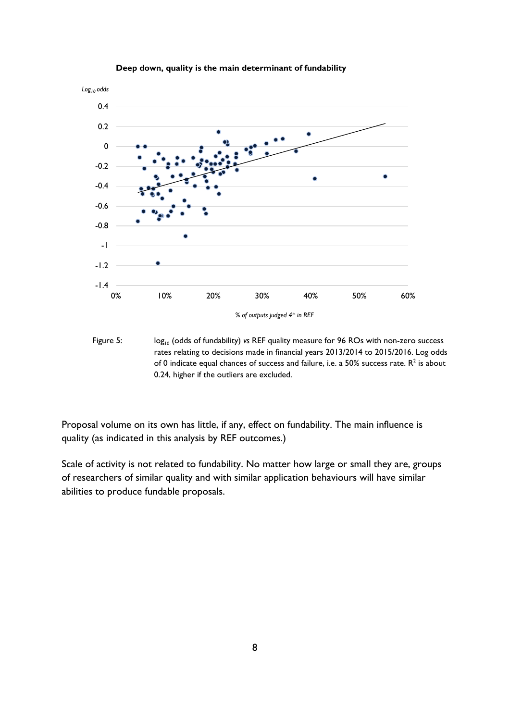

#### **Deep down, quality is the main determinant of fundability**

Figure 5: log<sub>10</sub> (odds of fundability) *vs* REF quality measure for 96 ROs with non-zero success rates relating to decisions made in financial years 2013/2014 to 2015/2016. Log odds of 0 indicate equal chances of success and failure, i.e. a 50% success rate.  $R^2$  is about 0.24, higher if the outliers are excluded.

Proposal volume on its own has little, if any, effect on fundability. The main influence is quality (as indicated in this analysis by REF outcomes.)

Scale of activity is not related to fundability. No matter how large or small they are, groups of researchers of similar quality and with similar application behaviours will have similar abilities to produce fundable proposals.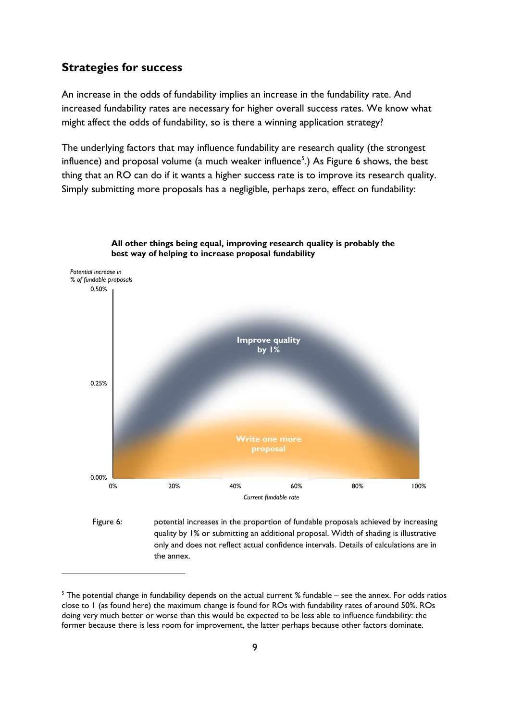### <span id="page-8-0"></span>**Strategies for success**

<u>.</u>

An increase in the odds of fundability implies an increase in the fundability rate. And increased fundability rates are necessary for higher overall success rates. We know what might affect the odds of fundability, so is there a winning application strategy?

The underlying factors that may influence fundability are research quality (the strongest influence) and proposal volume (a much weaker influence<sup>[5](#page-8-1)</sup>.) As Figure 6 shows, the best thing that an RO can do if it wants a higher success rate is to improve its research quality. Simply submitting more proposals has a negligible, perhaps zero, effect on fundability:





<span id="page-8-1"></span><sup>5</sup> The potential change in fundability depends on the actual current % fundable – see the annex. For odds ratios close to 1 (as found here) the maximum change is found for ROs with fundability rates of around 50%. ROs doing very much better or worse than this would be expected to be less able to influence fundability: the former because there is less room for improvement, the latter perhaps because other factors dominate.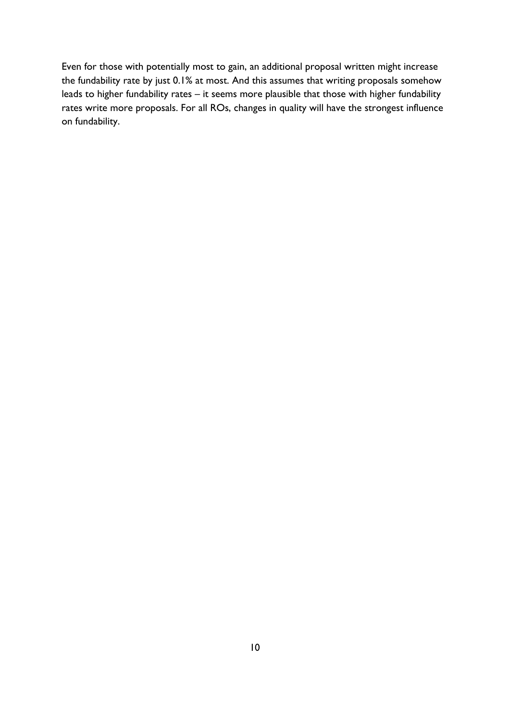Even for those with potentially most to gain, an additional proposal written might increase the fundability rate by just 0.1% at most. And this assumes that writing proposals somehow leads to higher fundability rates – it seems more plausible that those with higher fundability rates write more proposals. For all ROs, changes in quality will have the strongest influence on fundability.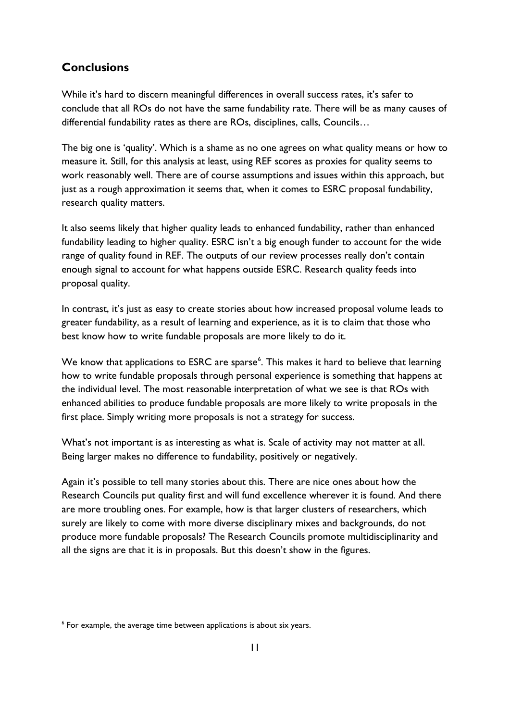## <span id="page-10-0"></span>**Conclusions**

While it's hard to discern meaningful differences in overall success rates, it's safer to conclude that all ROs do not have the same fundability rate. There will be as many causes of differential fundability rates as there are ROs, disciplines, calls, Councils…

The big one is 'quality'. Which is a shame as no one agrees on what quality means or how to measure it. Still, for this analysis at least, using REF scores as proxies for quality seems to work reasonably well. There are of course assumptions and issues within this approach, but just as a rough approximation it seems that, when it comes to ESRC proposal fundability, research quality matters.

It also seems likely that higher quality leads to enhanced fundability, rather than enhanced fundability leading to higher quality. ESRC isn't a big enough funder to account for the wide range of quality found in REF. The outputs of our review processes really don't contain enough signal to account for what happens outside ESRC. Research quality feeds into proposal quality.

In contrast, it's just as easy to create stories about how increased proposal volume leads to greater fundability, as a result of learning and experience, as it is to claim that those who best know how to write fundable proposals are more likely to do it.

We know that applications to ESRC are sparse<sup>[6](#page-10-1)</sup>. This makes it hard to believe that learning how to write fundable proposals through personal experience is something that happens at the individual level. The most reasonable interpretation of what we see is that ROs with enhanced abilities to produce fundable proposals are more likely to write proposals in the first place. Simply writing more proposals is not a strategy for success.

What's not important is as interesting as what is. Scale of activity may not matter at all. Being larger makes no difference to fundability, positively or negatively.

Again it's possible to tell many stories about this. There are nice ones about how the Research Councils put quality first and will fund excellence wherever it is found. And there are more troubling ones. For example, how is that larger clusters of researchers, which surely are likely to come with more diverse disciplinary mixes and backgrounds, do not produce more fundable proposals? The Research Councils promote multidisciplinarity and all the signs are that it is in proposals. But this doesn't show in the figures.

-

<span id="page-10-1"></span><sup>6</sup> For example, the average time between applications is about six years.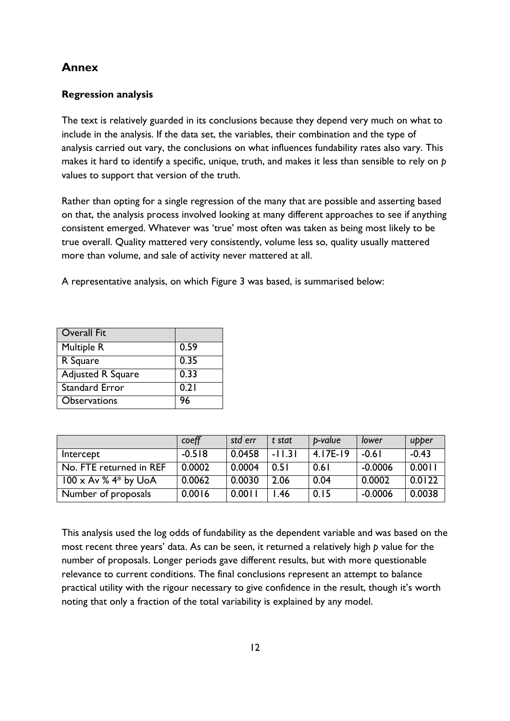## <span id="page-11-0"></span>**Annex**

### <span id="page-11-1"></span>**Regression analysis**

The text is relatively guarded in its conclusions because they depend very much on what to include in the analysis. If the data set, the variables, their combination and the type of analysis carried out vary, the conclusions on what influences fundability rates also vary. This makes it hard to identify a specific, unique, truth, and makes it less than sensible to rely on *p* values to support that version of the truth.

Rather than opting for a single regression of the many that are possible and asserting based on that, the analysis process involved looking at many different approaches to see if anything consistent emerged. Whatever was 'true' most often was taken as being most likely to be true overall. Quality mattered very consistently, volume less so, quality usually mattered more than volume, and sale of activity never mattered at all.

A representative analysis, on which Figure 3 was based, is summarised below:

| <b>Overall Fit</b>       |      |
|--------------------------|------|
| Multiple R               | 0.59 |
| R Square                 | 0.35 |
| <b>Adjusted R Square</b> | 0.33 |
| <b>Standard Error</b>    | 0.21 |
| <b>Observations</b>      | 96   |

|                             | coeff    | std err | t stat   | p-value    | lower     | upper   |
|-----------------------------|----------|---------|----------|------------|-----------|---------|
| Intercept                   | $-0.518$ | 0.0458  | $-11.31$ | $4.17E-19$ | $-0.61$   | $-0.43$ |
| No. FTE returned in REF     | 0.0002   | 0.0004  | 0.51     | 0.61       | $-0.0006$ | 0.0011  |
| $100 \times Av$ % 4* by UoA | 0.0062   | 0.0030  | 2.06     | 0.04       | 0.0002    | 0.0122  |
| Number of proposals         | 0.0016   | 0.0011  | 1.46     | 0.15       | $-0.0006$ | 0.0038  |

This analysis used the log odds of fundability as the dependent variable and was based on the most recent three years' data. As can be seen, it returned a relatively high *p* value for the number of proposals. Longer periods gave different results, but with more questionable relevance to current conditions. The final conclusions represent an attempt to balance practical utility with the rigour necessary to give confidence in the result, though it's worth noting that only a fraction of the total variability is explained by any model.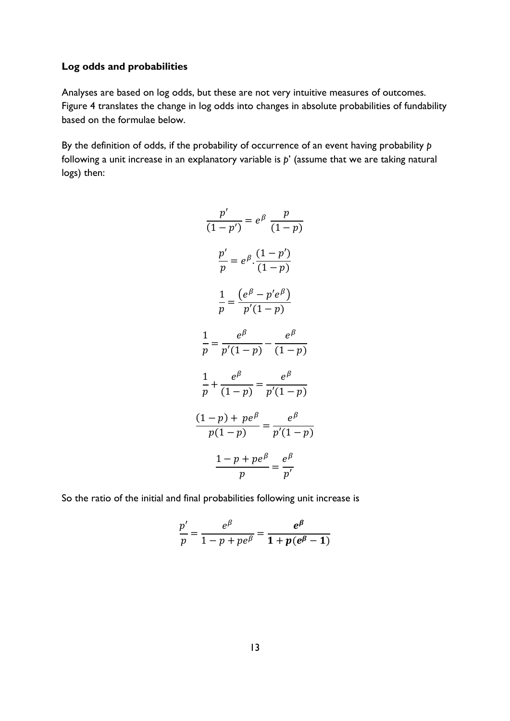### <span id="page-12-0"></span>**Log odds and probabilities**

Analyses are based on log odds, but these are not very intuitive measures of outcomes. Figure 4 translates the change in log odds into changes in absolute probabilities of fundability based on the formulae below.

By the definition of odds, if the probability of occurrence of an event having probability *p* following a unit increase in an explanatory variable is *p*' (assume that we are taking natural logs) then:

$$
\frac{p'}{(1-p')} = e^{\beta} \frac{p}{(1-p)}
$$

$$
\frac{p'}{p} = e^{\beta} \cdot \frac{(1-p')}{(1-p)}
$$

$$
\frac{1}{p} = \frac{(e^{\beta} - p'e^{\beta})}{p'(1-p)}
$$

$$
\frac{1}{p} = \frac{e^{\beta}}{p'(1-p)} - \frac{e^{\beta}}{(1-p)}
$$

$$
\frac{1}{p} + \frac{e^{\beta}}{(1-p)} = \frac{e^{\beta}}{p'(1-p)}
$$

$$
\frac{(1-p) + pe^{\beta}}{p(1-p)} = \frac{e^{\beta}}{p'(1-p)}
$$

$$
\frac{1-p + pe^{\beta}}{p} = \frac{e^{\beta}}{p'}
$$

So the ratio of the initial and final probabilities following unit increase is

$$
\frac{p'}{p} = \frac{e^{\beta}}{1-p+pe^{\beta}} = \frac{e^{\beta}}{1+p(e^{\beta}-1)}
$$